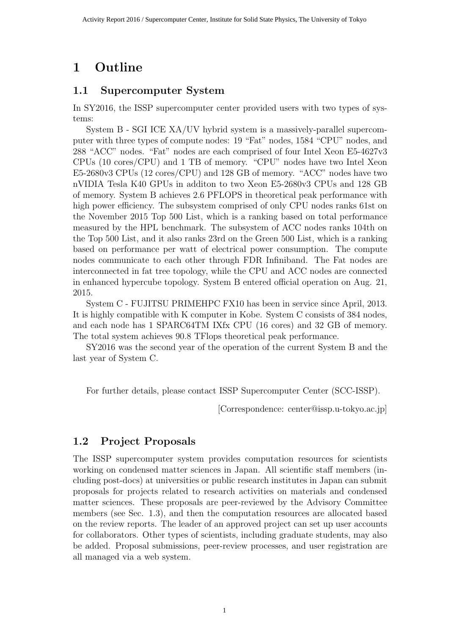# **1 Outline**

### **1.1 Supercomputer System**

In SY2016, the ISSP supercomputer center provided users with two types of systems:

System B - SGI ICE XA/UV hybrid system is a massively-parallel supercomputer with three types of compute nodes: 19 "Fat" nodes, 1584 "CPU" nodes, and 288 "ACC" nodes. "Fat" nodes are each comprised of four Intel Xeon E5-4627v3 CPUs (10 cores/CPU) and 1 TB of memory. "CPU" nodes have two Intel Xeon E5-2680v3 CPUs (12 cores/CPU) and 128 GB of memory. "ACC" nodes have two nVIDIA Tesla K40 GPUs in additon to two Xeon E5-2680v3 CPUs and 128 GB of memory. System B achieves 2.6 PFLOPS in theoretical peak performance with high power efficiency. The subsystem comprised of only CPU nodes ranks 61st on the November 2015 Top 500 List, which is a ranking based on total performance measured by the HPL benchmark. The subsystem of ACC nodes ranks 104th on the Top 500 List, and it also ranks 23rd on the Green 500 List, which is a ranking based on performance per watt of electrical power consumption. The compute nodes communicate to each other through FDR Infiniband. The Fat nodes are interconnected in fat tree topology, while the CPU and ACC nodes are connected in enhanced hypercube topology. System B entered official operation on Aug. 21, 2015.

System C - FUJITSU PRIMEHPC FX10 has been in service since April, 2013. It is highly compatible with K computer in Kobe. System C consists of 384 nodes, and each node has 1 SPARC64TM IXfx CPU (16 cores) and 32 GB of memory. The total system achieves 90.8 TFlops theoretical peak performance.

SY2016 was the second year of the operation of the current System B and the last year of System C.

For further details, please contact ISSP Supercomputer Center (SCC-ISSP).

[Correspondence: center@issp.u-tokyo.ac.jp]

## **1.2 Project Proposals**

The ISSP supercomputer system provides computation resources for scientists working on condensed matter sciences in Japan. All scientific staff members (including post-docs) at universities or public research institutes in Japan can submit proposals for projects related to research activities on materials and condensed matter sciences. These proposals are peer-reviewed by the Advisory Committee members (see Sec. 1.3), and then the computation resources are allocated based on the review reports. The leader of an approved project can set up user accounts for collaborators. Other types of scientists, including graduate students, may also be added. Proposal submissions, peer-review processes, and user registration are all managed via a web system.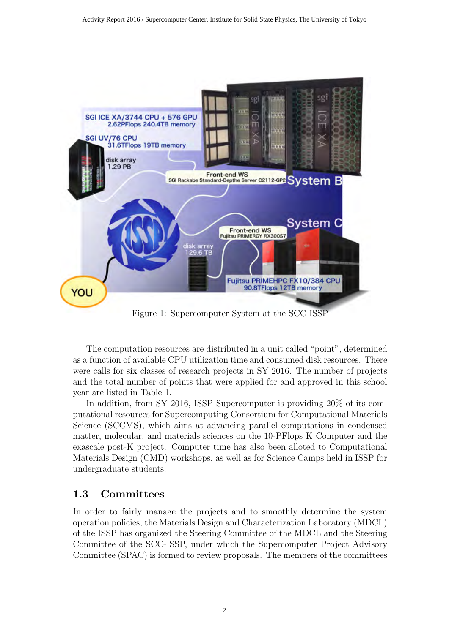

Figure 1: Supercomputer System at the SCC-ISSP

The computation resources are distributed in a unit called "point", determined as a function of available CPU utilization time and consumed disk resources. There were calls for six classes of research projects in SY 2016. The number of projects and the total number of points that were applied for and approved in this school year are listed in Table 1.

In addition, from SY 2016, ISSP Supercomputer is providing 20% of its computational resources for Supercomputing Consortium for Computational Materials Science (SCCMS), which aims at advancing parallel computations in condensed matter, molecular, and materials sciences on the 10-PFlops K Computer and the exascale post-K project. Computer time has also been alloted to Computational Materials Design (CMD) workshops, as well as for Science Camps held in ISSP for undergraduate students.

### **1.3 Committees**

In order to fairly manage the projects and to smoothly determine the system operation policies, the Materials Design and Characterization Laboratory (MDCL) of the ISSP has organized the Steering Committee of the MDCL and the Steering Committee of the SCC-ISSP, under which the Supercomputer Project Advisory Committee (SPAC) is formed to review proposals. The members of the committees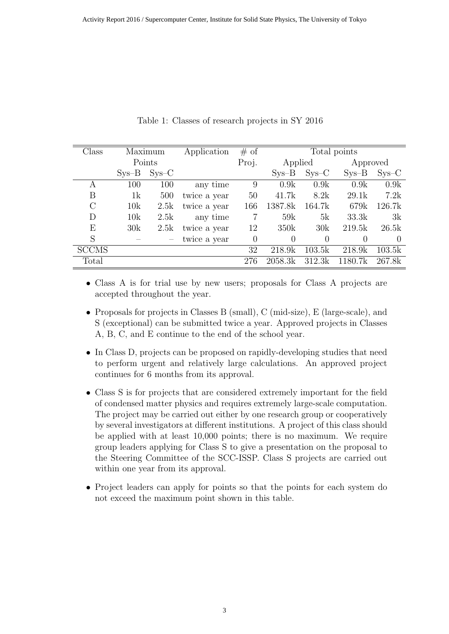| Class        |         | Maximum | Application  | # of     | Total points |          |          |          |
|--------------|---------|---------|--------------|----------|--------------|----------|----------|----------|
|              | Points  |         |              | Proj.    | Applied      |          | Approved |          |
|              | $Sys-B$ | $Sys-C$ |              |          | $Sys-B$      | $SYS-C$  | $Sys-B$  | $Sys-C$  |
| A            | 100     | 100     | any time     | 9        | 0.9k         | 0.9k     | 0.9k     | 0.9k     |
| Β            | 1k      | 500     | twice a year | 50       | 41.7k        | 8.2k     | 29.1k    | 7.2k     |
| $\rm C$      | 10k     | 2.5k    | twice a year | 166      | 1387.8k      | 164.7k   | 679k     | 126.7k   |
| D            | 10k     | 2.5k    | any time     | 7        | 59k          | 5k       | 33.3k    | 3k       |
| E            | 30k     | 2.5k    | twice a year | 12       | 350k         | 30k      | 219.5k   | 26.5k    |
| S            |         |         | twice a year | $\Omega$ | $\Omega$     | $\Omega$ | $\theta$ | $\Omega$ |
| <b>SCCMS</b> |         |         |              | 32       | 218.9k       | 103.5k   | 218.9k   | 103.5k   |
| Total        |         |         |              | 276      | 2058.3k      | 312.3k   | 1180.7k  | 267.8k   |

Table 1: Classes of research projects in SY 2016

- *•* Class A is for trial use by new users; proposals for Class A projects are accepted throughout the year.
- Proposals for projects in Classes B (small), C (mid-size), E (large-scale), and S (exceptional) can be submitted twice a year. Approved projects in Classes A, B, C, and E continue to the end of the school year.
- In Class D, projects can be proposed on rapidly-developing studies that need to perform urgent and relatively large calculations. An approved project continues for 6 months from its approval.
- Class S is for projects that are considered extremely important for the field of condensed matter physics and requires extremely large-scale computation. The project may be carried out either by one research group or cooperatively by several investigators at different institutions. A project of this class should be applied with at least 10,000 points; there is no maximum. We require group leaders applying for Class S to give a presentation on the proposal to the Steering Committee of the SCC-ISSP. Class S projects are carried out within one year from its approval.
- Project leaders can apply for points so that the points for each system do not exceed the maximum point shown in this table.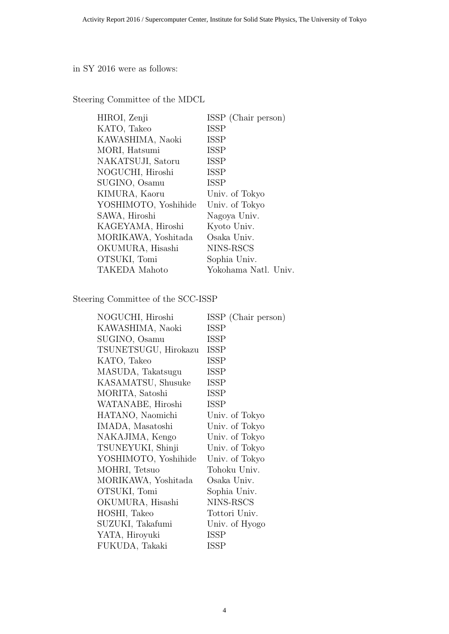in SY 2016 were as follows:

Steering Committee of the MDCL

| HIROI, Zenji         | ISSP (Chair person)  |
|----------------------|----------------------|
| KATO, Takeo          | <b>ISSP</b>          |
| KAWASHIMA, Naoki     | <b>ISSP</b>          |
| MORI, Hatsumi        | <b>ISSP</b>          |
| NAKATSUJI, Satoru    | <b>ISSP</b>          |
| NOGUCHI, Hiroshi     | <b>ISSP</b>          |
| SUGINO, Osamu        | <b>ISSP</b>          |
| KIMURA, Kaoru        | Univ. of Tokyo       |
| YOSHIMOTO, Yoshihide | Univ. of Tokyo       |
| SAWA, Hiroshi        | Nagoya Univ.         |
| KAGEYAMA, Hiroshi    | Kyoto Univ.          |
| MORIKAWA, Yoshitada  | Osaka Univ.          |
| OKUMURA, Hisashi     | NINS-RSCS            |
| OTSUKI, Tomi         | Sophia Univ.         |
| TAKEDA Mahoto        | Yokohama Natl. Univ. |

Steering Committee of the SCC-ISSP

| NOGUCHI, Hiroshi     | ISSP (Chair person) |
|----------------------|---------------------|
| KAWASHIMA, Naoki     | <b>ISSP</b>         |
| SUGINO, Osamu        | <b>ISSP</b>         |
| TSUNETSUGU, Hirokazu | <b>ISSP</b>         |
| KATO, Takeo          | <b>ISSP</b>         |
| MASUDA, Takatsugu    | <b>ISSP</b>         |
| KASAMATSU, Shusuke   | <b>ISSP</b>         |
| MORITA, Satoshi      | <b>ISSP</b>         |
| WATANABE, Hiroshi    | <b>ISSP</b>         |
| HATANO, Naomichi     | Univ. of Tokyo      |
| IMADA, Masatoshi     | Univ. of Tokyo      |
| NAKAJIMA, Kengo      | Univ. of Tokyo      |
| TSUNEYUKI, Shinji    | Univ. of Tokyo      |
| YOSHIMOTO, Yoshihide | Univ. of Tokyo      |
| MOHRI, Tetsuo        | Tohoku Univ.        |
| MORIKAWA, Yoshitada  | Osaka Univ.         |
| OTSUKI, Tomi         | Sophia Univ.        |
| OKUMURA, Hisashi     | NINS-RSCS           |
| HOSHI, Takeo         | Tottori Univ.       |
| SUZUKI, Takafumi     | Univ. of Hyogo      |
| YATA, Hiroyuki       | <b>ISSP</b>         |
| FUKUDA, Takaki       | <b>ISSP</b>         |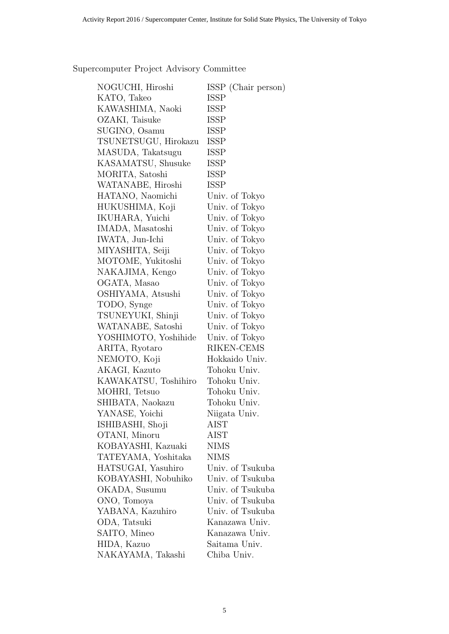Supercomputer Project Advisory Committee

| NOGUCHI, Hiroshi     | ISSP (Chair person) |
|----------------------|---------------------|
| KATO, Takeo          | <b>ISSP</b>         |
| KAWASHIMA, Naoki     | ISSP                |
| OZAKI, Taisuke       | <b>ISSP</b>         |
| SUGINO, Osamu        | <b>ISSP</b>         |
| TSUNETSUGU, Hirokazu | ISSP                |
| MASUDA, Takatsugu    | ISSP                |
| KASAMATSU, Shusuke   | <b>ISSP</b>         |
| MORITA, Satoshi      | ISSP                |
| WATANABE, Hiroshi    | <b>ISSP</b>         |
| HATANO, Naomichi     | Univ. of Tokyo      |
| HUKUSHIMA, Koji      | Univ. of Tokyo      |
| IKUHARA, Yuichi      | Univ. of Tokyo      |
| IMADA, Masatoshi     | Univ. of Tokyo      |
| IWATA, Jun-Ichi      | Univ. of Tokyo      |
| MIYASHITA, Seiji     | Univ. of Tokyo      |
| MOTOME, Yukitoshi    | Univ. of Tokyo      |
| NAKAJIMA, Kengo      | Univ. of Tokyo      |
| OGATA, Masao         | Univ. of Tokyo      |
| OSHIYAMA, Atsushi    | Univ. of Tokyo      |
| TODO, Synge          | Univ. of Tokyo      |
| TSUNEYUKI, Shinji    | Univ. of Tokyo      |
| WATANABE, Satoshi    | Univ. of Tokyo      |
| YOSHIMOTO, Yoshihide | Univ. of Tokyo      |
| ARITA, Ryotaro       | RIKEN-CEMS          |
| NEMOTO, Koji         | Hokkaido Univ.      |
| AKAGI, Kazuto        | Tohoku Univ.        |
| KAWAKATSU, Toshihiro | Tohoku Univ.        |
| MOHRI, Tetsuo        | Tohoku Univ.        |
| SHIBATA, Naokazu     | Tohoku Univ.        |
| YANASE, Yoichi       | Niigata Univ.       |
| ISHIBASHI, Shoji     | AIST                |
| OTANI, Minoru        | AIST                |
| KOBAYASHI, Kazuaki   | <b>NIMS</b>         |
| TATEYAMA, Yoshitaka  | <b>NIMS</b>         |
| HATSUGAI, Yasuhiro   | Univ. of Tsukuba    |
| KOBAYASHI, Nobuhiko  | Univ. of Tsukuba    |
| OKADA, Susumu        | Univ. of Tsukuba    |
| ONO, Tomoya          | Univ. of Tsukuba    |
| YABANA, Kazuhiro     | Univ. of Tsukuba    |
| ODA, Tatsuki         | Kanazawa Univ.      |
| SAITO, Mineo         | Kanazawa Univ.      |
| HIDA, Kazuo          | Saitama Univ.       |
| NAKAYAMA, Takashi    | Chiba Univ.         |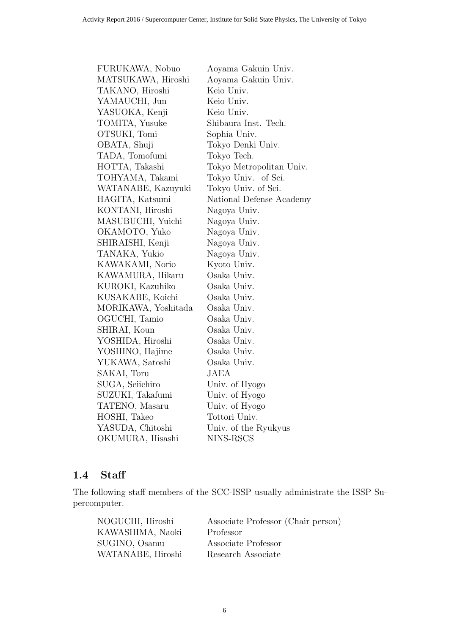| FURUKAWA, Nobuo     | Aoyama Gakuin Univ.      |
|---------------------|--------------------------|
| MATSUKAWA, Hiroshi  | Aoyama Gakuin Univ.      |
| TAKANO, Hiroshi     | Keio Univ.               |
| YAMAUCHI, Jun       | Keio Univ.               |
| YASUOKA, Kenji      | Keio Univ.               |
| TOMITA, Yusuke      | Shibaura Inst. Tech.     |
| OTSUKI, Tomi        | Sophia Univ.             |
| OBATA, Shuji        | Tokyo Denki Univ.        |
| TADA, Tomofumi      | Tokyo Tech.              |
| HOTTA, Takashi      | Tokyo Metropolitan Univ. |
| TOHYAMA, Takami     | Tokyo Univ. of Sci.      |
| WATANABE, Kazuyuki  | Tokyo Univ. of Sci.      |
| HAGITA, Katsumi     | National Defense Academy |
| KONTANI, Hiroshi    | Nagoya Univ.             |
| MASUBUCHI, Yuichi   | Nagoya Univ.             |
| OKAMOTO, Yuko       | Nagoya Univ.             |
| SHIRAISHI, Kenji    | Nagoya Univ.             |
| TANAKA, Yukio       | Nagoya Univ.             |
| KAWAKAMI, Norio     | Kyoto Univ.              |
| KAWAMURA, Hikaru    | Osaka Univ.              |
| KUROKI, Kazuhiko    | Osaka Univ.              |
| KUSAKABE, Koichi    | Osaka Univ.              |
| MORIKAWA, Yoshitada | Osaka Univ.              |
| OGUCHI, Tamio       | Osaka Univ.              |
| SHIRAI, Koun        | Osaka Univ.              |
| YOSHIDA, Hiroshi    | Osaka Univ.              |
| YOSHINO, Hajime     | Osaka Univ.              |
| YUKAWA, Satoshi     | Osaka Univ.              |
| SAKAI, Toru         | JAEA                     |
| SUGA, Seiichiro     | Univ. of Hyogo           |
| SUZUKI, Takafumi    | Univ. of Hyogo           |
| TATENO, Masaru      | Univ. of Hyogo           |
| HOSHI, Takeo        | Tottori Univ.            |
| YASUDA, Chitoshi    | Univ. of the Ryukyus     |
| OKUMURA, Hisashi    | NINS-RSCS                |

## **1.4 Staff**

The following staff members of the SCC-ISSP usually administrate the ISSP Supercomputer.

| NOGUCHI, Hiroshi  | Associate Professor (Chair person) |
|-------------------|------------------------------------|
| KAWASHIMA, Naoki  | Professor                          |
| SUGINO, Osamu     | Associate Professor                |
| WATANABE, Hiroshi | Research Associate                 |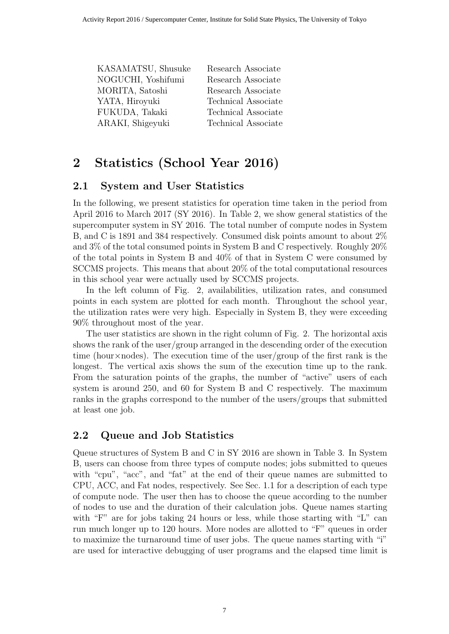| KASAMATSU, Shusuke | Research Associate         |
|--------------------|----------------------------|
| NOGUCHI, Yoshifumi | Research Associate         |
| MORITA, Satoshi    | Research Associate         |
| YATA, Hiroyuki     | Technical Associate        |
| FUKUDA, Takaki     | <b>Technical Associate</b> |
| ARAKI, Shigeyuki   | Technical Associate        |
|                    |                            |

# **2 Statistics (School Year 2016)**

#### **2.1 System and User Statistics**

In the following, we present statistics for operation time taken in the period from April 2016 to March 2017 (SY 2016). In Table 2, we show general statistics of the supercomputer system in SY 2016. The total number of compute nodes in System B, and C is 1891 and 384 respectively. Consumed disk points amount to about 2% and 3% of the total consumed points in System B and C respectively. Roughly 20% of the total points in System B and 40% of that in System C were consumed by SCCMS projects. This means that about 20% of the total computational resources in this school year were actually used by SCCMS projects.

In the left column of Fig. 2, availabilities, utilization rates, and consumed points in each system are plotted for each month. Throughout the school year, the utilization rates were very high. Especially in System B, they were exceeding 90% throughout most of the year.

The user statistics are shown in the right column of Fig. 2. The horizontal axis shows the rank of the user/group arranged in the descending order of the execution time (hour*×*nodes). The execution time of the user/group of the first rank is the longest. The vertical axis shows the sum of the execution time up to the rank. From the saturation points of the graphs, the number of "active" users of each system is around 250, and 60 for System B and C respectively. The maximum ranks in the graphs correspond to the number of the users/groups that submitted at least one job.

### **2.2 Queue and Job Statistics**

Queue structures of System B and C in SY 2016 are shown in Table 3. In System B, users can choose from three types of compute nodes; jobs submitted to queues with "cpu", "acc", and "fat" at the end of their queue names are submitted to CPU, ACC, and Fat nodes, respectively. See Sec. 1.1 for a description of each type of compute node. The user then has to choose the queue according to the number of nodes to use and the duration of their calculation jobs. Queue names starting with "F" are for jobs taking 24 hours or less, while those starting with "L" can run much longer up to 120 hours. More nodes are allotted to "F" queues in order to maximize the turnaround time of user jobs. The queue names starting with "i" are used for interactive debugging of user programs and the elapsed time limit is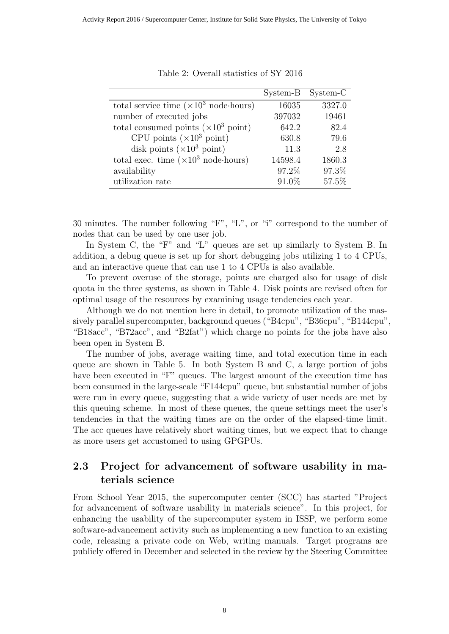|                                                       | System-B | System-C |
|-------------------------------------------------------|----------|----------|
| total service time $(\times 10^3 \text{ node-hours})$ | 16035    | 3327.0   |
| number of executed jobs                               | 397032   | 19461    |
| total consumed points $(\times 10^3 \text{ point})$   | 642.2    | 82.4     |
| CPU points $(\times 10^3 \text{ point})$              | 630.8    | 79.6     |
| disk points $(\times 10^3 \text{ point})$             | 11.3     | 2.8      |
| total exec. time $(\times 10^3 \text{ node-hours})$   | 14598.4  | 1860.3   |
| availability                                          | 97.2%    | 97.3%    |
| utilization rate                                      | 91.0%    | 57.5%    |

Table 2: Overall statistics of SY 2016

30 minutes. The number following "F", "L", or "i" correspond to the number of nodes that can be used by one user job.

In System C, the "F" and "L" queues are set up similarly to System B. In addition, a debug queue is set up for short debugging jobs utilizing 1 to 4 CPUs, and an interactive queue that can use 1 to 4 CPUs is also available.

To prevent overuse of the storage, points are charged also for usage of disk quota in the three systems, as shown in Table 4. Disk points are revised often for optimal usage of the resources by examining usage tendencies each year.

Although we do not mention here in detail, to promote utilization of the massively parallel supercomputer, background queues ("B4cpu", "B36cpu", "B144cpu", "B18acc", "B72acc", and "B2fat") which charge no points for the jobs have also been open in System B.

The number of jobs, average waiting time, and total execution time in each queue are shown in Table 5. In both System B and C, a large portion of jobs have been executed in "F" queues. The largest amount of the execution time has been consumed in the large-scale "F144cpu" queue, but substantial number of jobs were run in every queue, suggesting that a wide variety of user needs are met by this queuing scheme. In most of these queues, the queue settings meet the user's tendencies in that the waiting times are on the order of the elapsed-time limit. The acc queues have relatively short waiting times, but we expect that to change as more users get accustomed to using GPGPUs.

#### **2.3 Project for advancement of software usability in materials science**

From School Year 2015, the supercomputer center (SCC) has started "Project for advancement of software usability in materials science". In this project, for enhancing the usability of the supercomputer system in ISSP, we perform some software-advancement activity such as implementing a new function to an existing code, releasing a private code on Web, writing manuals. Target programs are publicly offered in December and selected in the review by the Steering Committee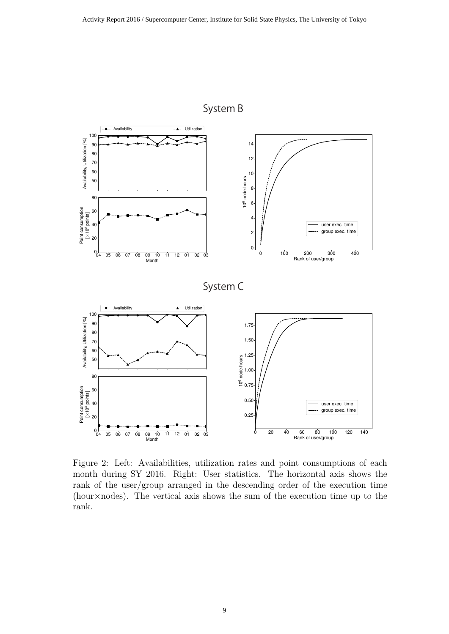

System B

Figure 2: Left: Availabilities, utilization rates and point consumptions of each month during SY 2016. Right: User statistics. The horizontal axis shows the rank of the user/group arranged in the descending order of the execution time (hour*×*nodes). The vertical axis shows the sum of the execution time up to the rank.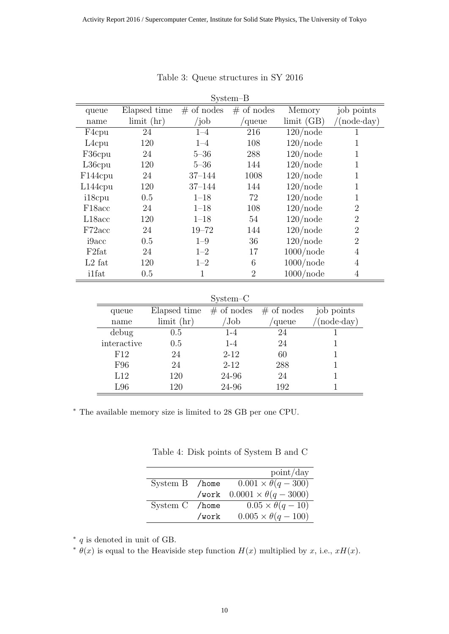|                     |                  |               | $S$ ystem $-B$ |              |                      |
|---------------------|------------------|---------------|----------------|--------------|----------------------|
| queue               | Elapsed time     | $\#$ of nodes | $#$ of nodes   | Memory       | job points           |
| name                | $\lim$ it $(hr)$ | $\int$ job    | /queue         | limit(GB)    | $\text{'(node-day)}$ |
| F <sub>4</sub> cpu  | 24               | $1 - 4$       | 216            | $120$ /node  | 1                    |
| $L4$ cpu            | 120              | $1 - 4$       | 108            | $120$ /node  | 1                    |
| F36cpu              | 24               | $5 - 36$      | 288            | $120$ /node  | 1                    |
| $L36$ cpu           | 120              | $5 - 36$      | 144            | $120$ /node  | 1                    |
| F144cpu             | 24               | $37 - 144$    | 1008           | $120$ /node  | 1                    |
| $L144$ cpu          | 120              | $37 - 144$    | 144            | $120$ /node  | 1                    |
| i18cpu              | 0.5              | $1 - 18$      | 72             | $120$ /node  | 1                    |
| F <sub>18</sub> acc | 24               | $1 - 18$      | 108            | $120$ /node  | $\overline{2}$       |
| L18acc              | 120              | $1 - 18$      | 54             | $120$ /node  | $\overline{2}$       |
| F72acc              | 24               | $19 - 72$     | 144            | $120$ /node  | $\overline{2}$       |
| i9acc               | 0.5              | $1 - 9$       | 36             | $120$ /node  | $\overline{2}$       |
| F <sub>2</sub> fat  | 24               | $1 - 2$       | 17             | $1000$ /node | 4                    |
| $L2$ fat            | 120              | $1 - 2$       | 6              | $1000$ /node | $\overline{4}$       |
| ilfat               | 0.5              | 1             | $\overline{2}$ | $1000$ /node | $\overline{4}$       |

#### Table 3: Queue structures in SY 2016

System–C

|             |                  | v            |              |                    |
|-------------|------------------|--------------|--------------|--------------------|
| queue       | Elapsed time     | $#$ of nodes | $#$ of nodes | job points         |
| name        | $\lim$ it $(hr)$ | 'Job         | 'queue       | $(node \cdot day)$ |
| debug       | $0.5\,$          | $1 - 4$      | 24           |                    |
| interactive | 0.5              | $1 - 4$      | 24           |                    |
| F12         | 24               | $2 - 12$     | 60           |                    |
| F96         | 24               | $2 - 12$     | 288          |                    |
| L12         | 120              | 24-96        | 24           |                    |
| L96         | 120              | 24-96        | 192          |                    |

*∗* The available memory size is limited to 28 GB per one CPU.

Table 4: Disk points of System B and C

|                |       | point/day                        |
|----------------|-------|----------------------------------|
| System B /home |       | $0.001 \times \theta(q - 300)$   |
|                | /work | $0.0001 \times \theta(q - 3000)$ |
| System C       | /home | $0.05 \times \theta(q-10)$       |
|                | /work | $0.005 \times \theta(q - 100)$   |

*∗ q* is denoted in unit of GB.

 $\theta(x)$  is equal to the Heaviside step function  $H(x)$  multiplied by *x*, i.e.,  $xH(x)$ .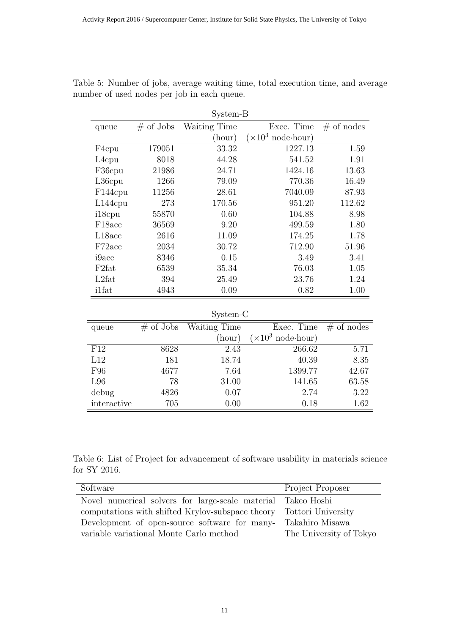| System-B             |              |              |                                 |              |
|----------------------|--------------|--------------|---------------------------------|--------------|
| queue                | $\#$ of Jobs | Waiting Time | Exec. Time                      | $#$ of nodes |
|                      |              | (hour)       | $(\times 10^3)$<br>$node-hour)$ |              |
| F4cpu                | 179051       | 33.32        | 1227.13                         | 1.59         |
| L <sub>4</sub> cpu   | 8018         | 44.28        | 541.52                          | 1.91         |
| F36cpu               | 21986        | 24.71        | 1424.16                         | 13.63        |
| L36cpu               | 1266         | 79.09        | 770.36                          | 16.49        |
| F <sub>144</sub> cpu | 11256        | 28.61        | 7040.09                         | 87.93        |
| $L144$ cpu           | 273          | 170.56       | 951.20                          | 112.62       |
| i18cpu               | 55870        | 0.60         | 104.88                          | 8.98         |
| F <sub>18</sub> acc  | 36569        | 9.20         | 499.59                          | 1.80         |
| L18acc               | 2616         | 11.09        | 174.25                          | 1.78         |
| F72acc               | 2034         | 30.72        | 712.90                          | 51.96        |
| i9acc                | 8346         | 0.15         | 3.49                            | 3.41         |
| F <sub>2</sub> fat   | 6539         | 35.34        | 76.03                           | 1.05         |
| L2fat                | 394          | 25.49        | 23.76                           | 1.24         |
| i1fat                | 4943         | 0.09         | 0.82                            | 1.00         |

Table 5: Number of jobs, average waiting time, total execution time, and average number of used nodes per job in each queue.

System-C

| queue       | $\#$ of Jobs | Waiting Time | Exec. Time                        | $#$ of nodes |
|-------------|--------------|--------------|-----------------------------------|--------------|
|             |              | (hour)       | $(\times 10^3 \text{ node-hour})$ |              |
| F12         | 8628         | 2.43         | 266.62                            | 5.71         |
| L12         | 181          | 18.74        | 40.39                             | 8.35         |
| F96         | 4677         | 7.64         | 1399.77                           | 42.67        |
| L96         | 78           | 31.00        | 141.65                            | 63.58        |
| debug       | 4826         | 0.07         | 2.74                              | 3.22         |
| interactive | 705          | 0.00         | 0.18                              | 1.62         |

Table 6: List of Project for advancement of software usability in materials science for SY 2016.

| Software                                                              | <b>Project Proposer</b> |
|-----------------------------------------------------------------------|-------------------------|
| Novel numerical solvers for large-scale material Takeo Hoshi          |                         |
| computations with shifted Krylov-subspace theory   Tottori University |                         |
| Development of open-source software for many-                         | Takahiro Misawa         |
| variable variational Monte Carlo method                               | The University of Tokyo |